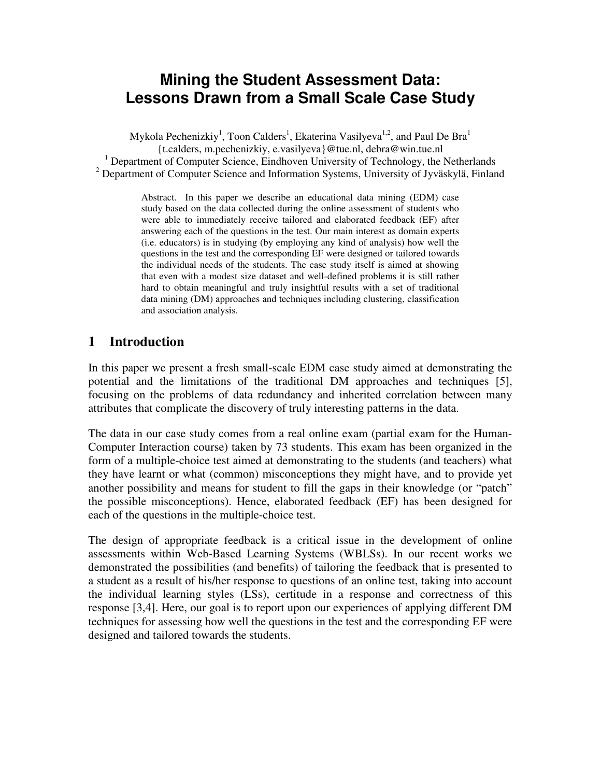# **Mining the Student Assessment Data: Lessons Drawn from a Small Scale Case Study**

Mykola Pechenizkiy<sup>1</sup>, Toon Calders<sup>1</sup>, Ekaterina Vasilyeva<sup>1,2</sup>, and Paul De Bra<sup>1</sup> {t.calders, m.pechenizkiy, e.vasilyeva}@tue.nl, debra@win.tue.nl <sup>1</sup> Department of Computer Science, Eindhoven University of Technology, the Netherlands <sup>2</sup> Department of Computer Science and Information Systems, University of Jyväskylä, Finland

> Abstract. In this paper we describe an educational data mining (EDM) case study based on the data collected during the online assessment of students who were able to immediately receive tailored and elaborated feedback (EF) after answering each of the questions in the test. Our main interest as domain experts (i.e. educators) is in studying (by employing any kind of analysis) how well the questions in the test and the corresponding EF were designed or tailored towards the individual needs of the students. The case study itself is aimed at showing that even with a modest size dataset and well-defined problems it is still rather hard to obtain meaningful and truly insightful results with a set of traditional data mining (DM) approaches and techniques including clustering, classification and association analysis.

#### **1 Introduction**

In this paper we present a fresh small-scale EDM case study aimed at demonstrating the potential and the limitations of the traditional DM approaches and techniques [5], focusing on the problems of data redundancy and inherited correlation between many attributes that complicate the discovery of truly interesting patterns in the data.

The data in our case study comes from a real online exam (partial exam for the Human-Computer Interaction course) taken by 73 students. This exam has been organized in the form of a multiple-choice test aimed at demonstrating to the students (and teachers) what they have learnt or what (common) misconceptions they might have, and to provide yet another possibility and means for student to fill the gaps in their knowledge (or "patch" the possible misconceptions). Hence, elaborated feedback (EF) has been designed for each of the questions in the multiple-choice test.

The design of appropriate feedback is a critical issue in the development of online assessments within Web-Based Learning Systems (WBLSs). In our recent works we demonstrated the possibilities (and benefits) of tailoring the feedback that is presented to a student as a result of his/her response to questions of an online test, taking into account the individual learning styles (LSs), certitude in a response and correctness of this response [3,4]. Here, our goal is to report upon our experiences of applying different DM techniques for assessing how well the questions in the test and the corresponding EF were designed and tailored towards the students.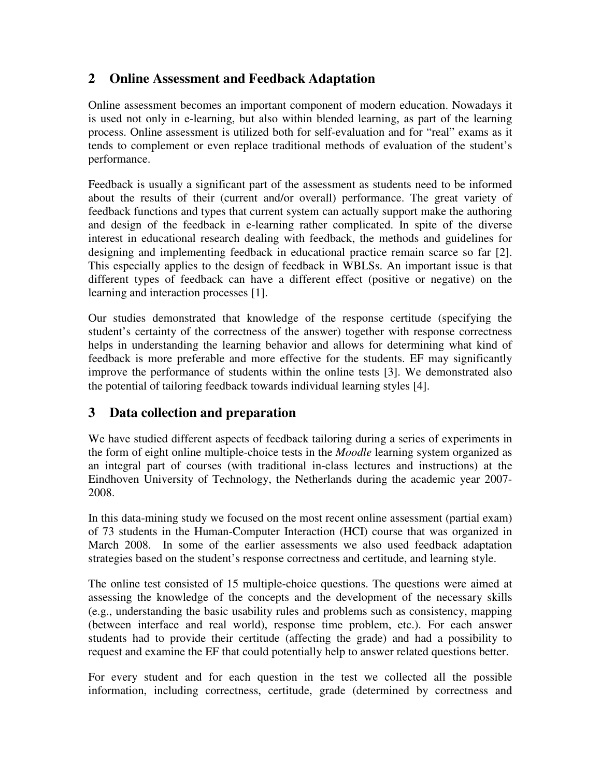## **2 Online Assessment and Feedback Adaptation**

Online assessment becomes an important component of modern education. Nowadays it is used not only in e-learning, but also within blended learning, as part of the learning process. Online assessment is utilized both for self-evaluation and for "real" exams as it tends to complement or even replace traditional methods of evaluation of the student's performance.

Feedback is usually a significant part of the assessment as students need to be informed about the results of their (current and/or overall) performance. The great variety of feedback functions and types that current system can actually support make the authoring and design of the feedback in e-learning rather complicated. In spite of the diverse interest in educational research dealing with feedback, the methods and guidelines for designing and implementing feedback in educational practice remain scarce so far [2]. This especially applies to the design of feedback in WBLSs. An important issue is that different types of feedback can have a different effect (positive or negative) on the learning and interaction processes [1].

Our studies demonstrated that knowledge of the response certitude (specifying the student's certainty of the correctness of the answer) together with response correctness helps in understanding the learning behavior and allows for determining what kind of feedback is more preferable and more effective for the students. EF may significantly improve the performance of students within the online tests [3]. We demonstrated also the potential of tailoring feedback towards individual learning styles [4].

#### **3 Data collection and preparation**

We have studied different aspects of feedback tailoring during a series of experiments in the form of eight online multiple-choice tests in the *Moodle* learning system organized as an integral part of courses (with traditional in-class lectures and instructions) at the Eindhoven University of Technology, the Netherlands during the academic year 2007- 2008.

In this data-mining study we focused on the most recent online assessment (partial exam) of 73 students in the Human-Computer Interaction (HCI) course that was organized in March 2008. In some of the earlier assessments we also used feedback adaptation strategies based on the student's response correctness and certitude, and learning style.

The online test consisted of 15 multiple-choice questions. The questions were aimed at assessing the knowledge of the concepts and the development of the necessary skills (e.g., understanding the basic usability rules and problems such as consistency, mapping (between interface and real world), response time problem, etc.). For each answer students had to provide their certitude (affecting the grade) and had a possibility to request and examine the EF that could potentially help to answer related questions better.

For every student and for each question in the test we collected all the possible information, including correctness, certitude, grade (determined by correctness and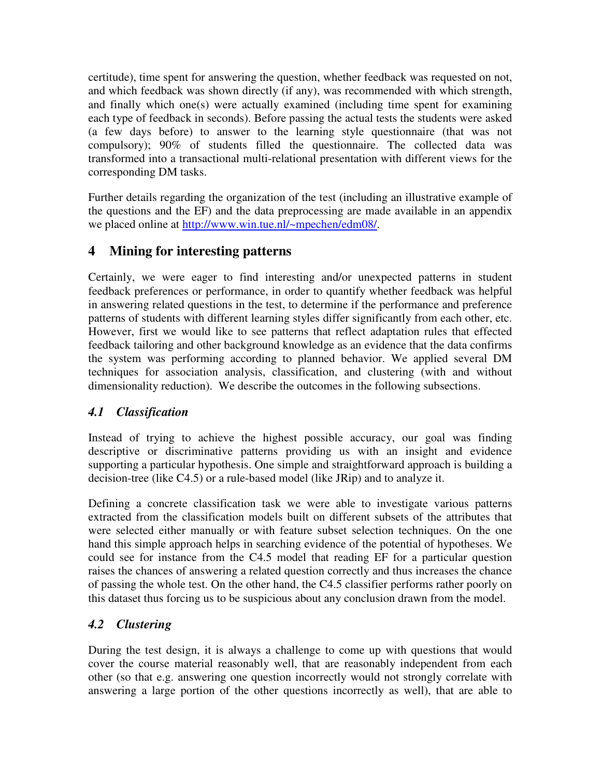certitude), time spent for answering the question, whether feedback was requested on not, and which feedback was shown directly (if any), was recommended with which strength, and finally which one(s) were actually examined (including time spent for examining each type of feedback in seconds). Before passing the actual tests the students were asked (a few days before) to answer to the learning style questionnaire (that was not compulsory); 90% of students filled the questionnaire. The collected data was transformed into a transactional multi-relational presentation with different views for the corresponding DM tasks.

Further details regarding the organization of the test (including an illustrative example of the questions and the EF) and the data preprocessing are made available in an appendix we placed online at http://www.win.tue.nl/~mpechen/edm08/.

# **4 Mining for interesting patterns**

Certainly, we were eager to find interesting and/or unexpected patterns in student feedback preferences or performance, in order to quantify whether feedback was helpful in answering related questions in the test, to determine if the performance and preference patterns of students with different learning styles differ significantly from each other, etc. However, first we would like to see patterns that reflect adaptation rules that effected feedback tailoring and other background knowledge as an evidence that the data confirms the system was performing according to planned behavior. We applied several DM techniques for association analysis, classification, and clustering (with and without dimensionality reduction). We describe the outcomes in the following subsections.

#### *4.1 Classification*

Instead of trying to achieve the highest possible accuracy, our goal was finding descriptive or discriminative patterns providing us with an insight and evidence supporting a particular hypothesis. One simple and straightforward approach is building a decision-tree (like C4.5) or a rule-based model (like JRip) and to analyze it.

Defining a concrete classification task we were able to investigate various patterns extracted from the classification models built on different subsets of the attributes that were selected either manually or with feature subset selection techniques. On the one hand this simple approach helps in searching evidence of the potential of hypotheses. We could see for instance from the C4.5 model that reading EF for a particular question raises the chances of answering a related question correctly and thus increases the chance of passing the whole test. On the other hand, the C4.5 classifier performs rather poorly on this dataset thus forcing us to be suspicious about any conclusion drawn from the model.

#### *4.2 Clustering*

During the test design, it is always a challenge to come up with questions that would cover the course material reasonably well, that are reasonably independent from each other (so that e.g. answering one question incorrectly would not strongly correlate with answering a large portion of the other questions incorrectly as well), that are able to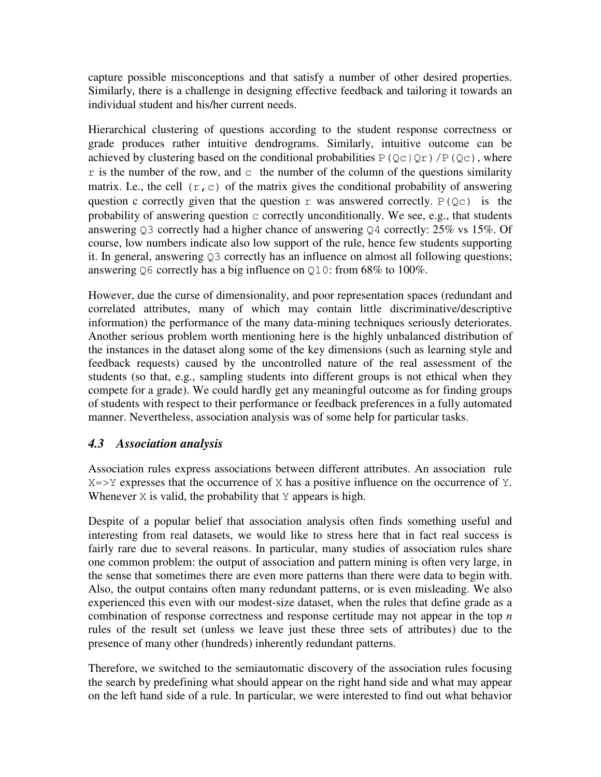capture possible misconceptions and that satisfy a number of other desired properties. Similarly, there is a challenge in designing effective feedback and tailoring it towards an individual student and his/her current needs.

Hierarchical clustering of questions according to the student response correctness or grade produces rather intuitive dendrograms. Similarly, intuitive outcome can be achieved by clustering based on the conditional probabilities  $P(Qc|Qr)/P(Qc)$ , where  $r$  is the number of the row, and  $c$  the number of the column of the questions similarity matrix. I.e., the cell  $(r, c)$  of the matrix gives the conditional probability of answering question c correctly given that the question r was answered correctly.  $P(Qc)$  is the probability of answering question c correctly unconditionally. We see, e.g., that students answering Q3 correctly had a higher chance of answering Q4 correctly: 25% vs 15%. Of course, low numbers indicate also low support of the rule, hence few students supporting it. In general, answering Q3 correctly has an influence on almost all following questions; answering Q6 correctly has a big influence on Q10: from 68% to 100%.

However, due the curse of dimensionality, and poor representation spaces (redundant and correlated attributes, many of which may contain little discriminative/descriptive information) the performance of the many data-mining techniques seriously deteriorates. Another serious problem worth mentioning here is the highly unbalanced distribution of the instances in the dataset along some of the key dimensions (such as learning style and feedback requests) caused by the uncontrolled nature of the real assessment of the students (so that, e.g., sampling students into different groups is not ethical when they compete for a grade). We could hardly get any meaningful outcome as for finding groups of students with respect to their performance or feedback preferences in a fully automated manner. Nevertheless, association analysis was of some help for particular tasks.

#### *4.3 Association analysis*

Association rules express associations between different attributes. An association rule  $X \Rightarrow Y$  expresses that the occurrence of X has a positive influence on the occurrence of Y. Whenever  $X$  is valid, the probability that  $Y$  appears is high.

Despite of a popular belief that association analysis often finds something useful and interesting from real datasets, we would like to stress here that in fact real success is fairly rare due to several reasons. In particular, many studies of association rules share one common problem: the output of association and pattern mining is often very large, in the sense that sometimes there are even more patterns than there were data to begin with. Also, the output contains often many redundant patterns, or is even misleading. We also experienced this even with our modest-size dataset, when the rules that define grade as a combination of response correctness and response certitude may not appear in the top *n* rules of the result set (unless we leave just these three sets of attributes) due to the presence of many other (hundreds) inherently redundant patterns.

Therefore, we switched to the semiautomatic discovery of the association rules focusing the search by predefining what should appear on the right hand side and what may appear on the left hand side of a rule. In particular, we were interested to find out what behavior